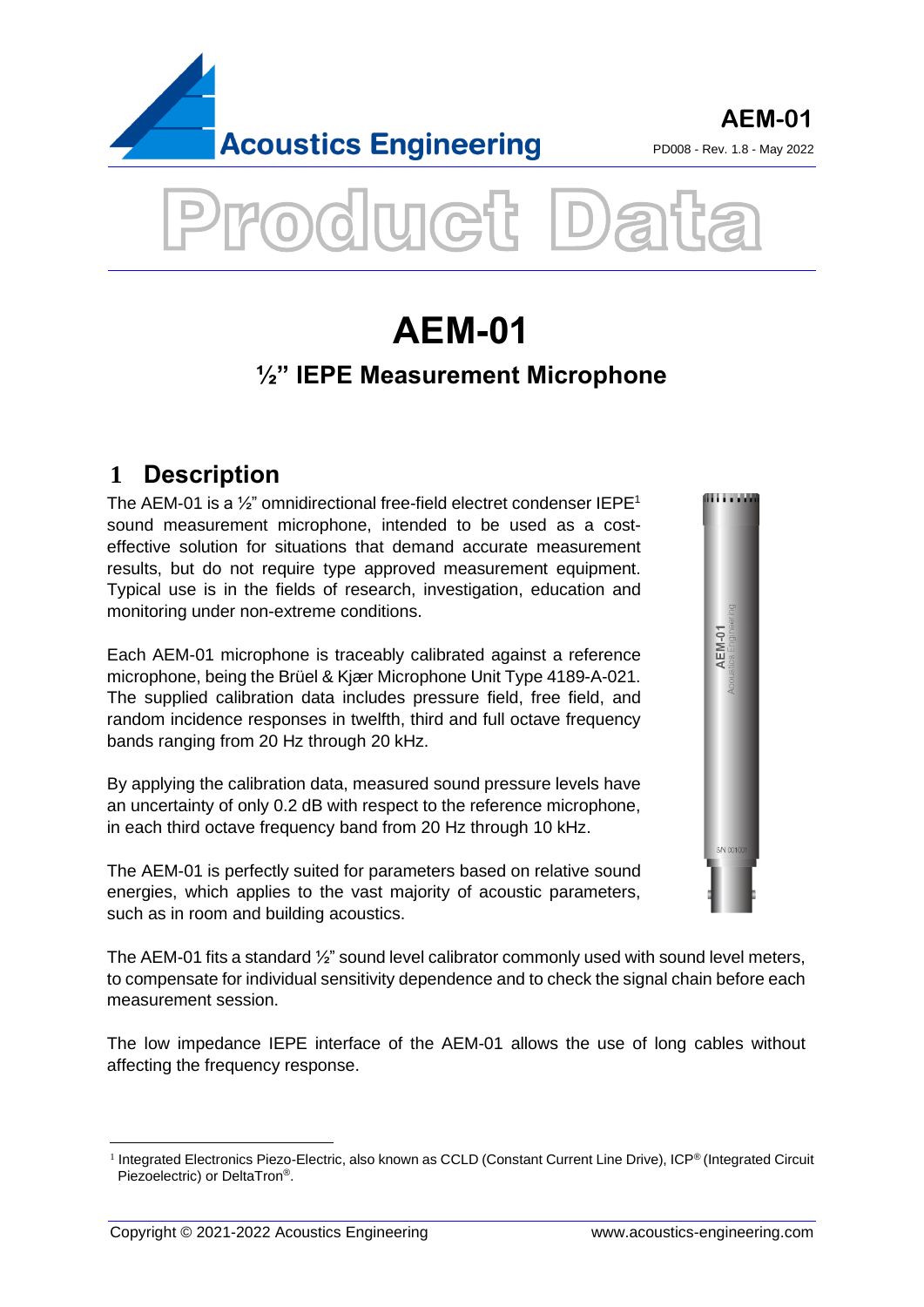



# **1 Description**

The AEM-01 is a  $\frac{1}{2}$ " omnidirectional free-field electret condenser IEPE<sup>1</sup> sound measurement microphone, intended to be used as a costeffective solution for situations that demand accurate measurement results, but do not require type approved measurement equipment. Typical use is in the fields of research, investigation, education and monitoring under non-extreme conditions.

Each AEM-01 microphone is traceably calibrated against a reference microphone, being the Brüel & Kjær Microphone Unit Type 4189-A-021. The supplied calibration data includes pressure field, free field, and random incidence responses in twelfth, third and full octave frequency bands ranging from 20 Hz through 20 kHz.

By applying the calibration data, measured sound pressure levels have an uncertainty of only 0.2 dB with respect to the reference microphone, in each third octave frequency band from 20 Hz through 10 kHz.

The AEM-01 is perfectly suited for parameters based on relative sound energies, which applies to the vast majority of acoustic parameters, such as in room and building acoustics.

The AEM-01 fits a standard ½" sound level calibrator commonly used with sound level meters, to compensate for individual sensitivity dependence and to check the signal chain before each measurement session.

The low impedance IEPE interface of the AEM-01 allows the use of long cables without affecting the frequency response.



<sup>&</sup>lt;sup>1</sup> Integrated Electronics Piezo-Electric, also known as CCLD (Constant Current Line Drive), ICP® (Integrated Circuit Piezoelectric) or DeltaTron®.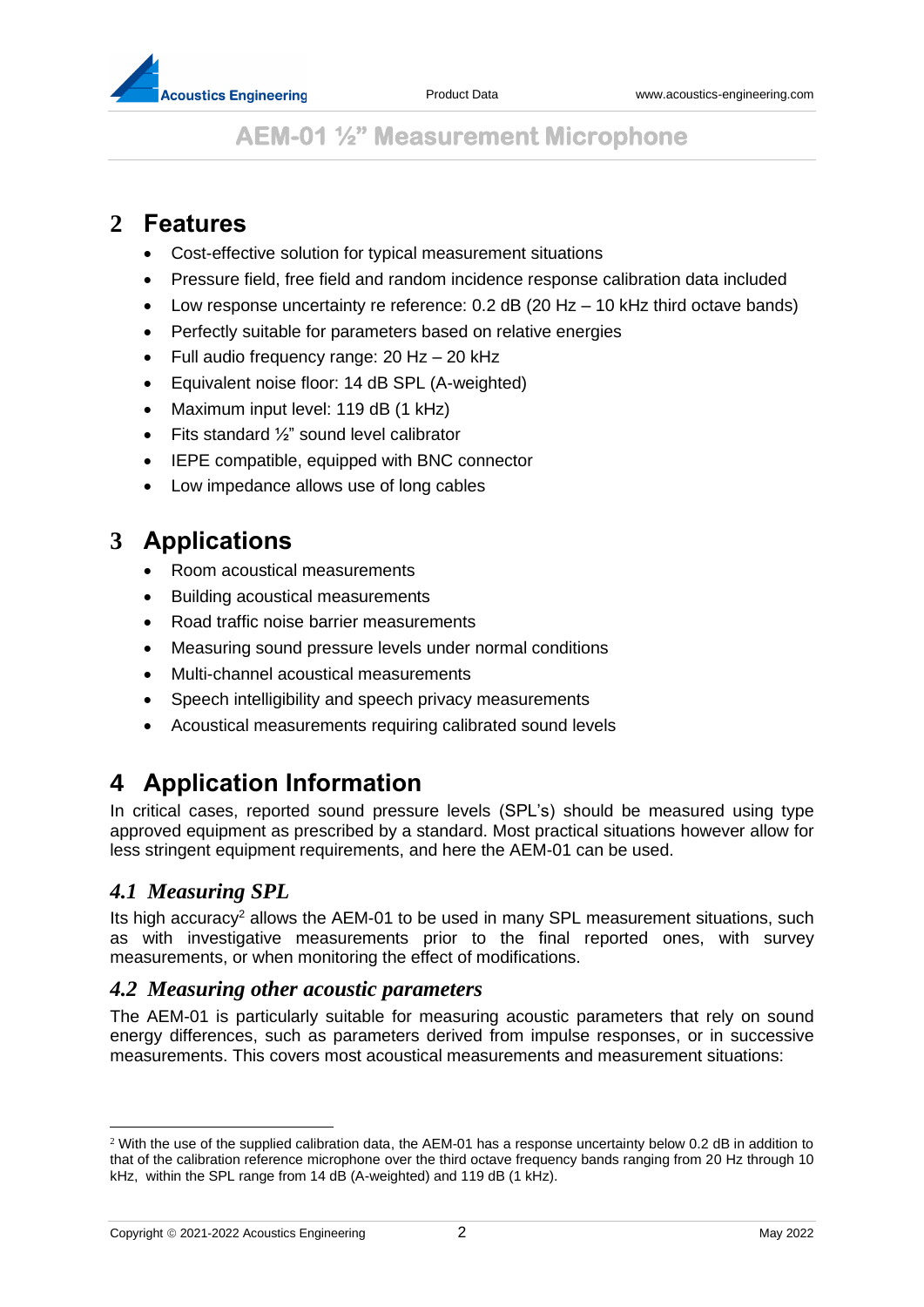

## **2 Features**

- Cost-effective solution for typical measurement situations
- Pressure field, free field and random incidence response calibration data included
- Low response uncertainty re reference: 0.2 dB (20 Hz 10 kHz third octave bands)
- Perfectly suitable for parameters based on relative energies
- Full audio frequency range: 20 Hz 20 kHz
- Equivalent noise floor: 14 dB SPL (A-weighted)
- Maximum input level: 119 dB (1 kHz)
- Fits standard  $\frac{1}{2}$ " sound level calibrator
- IEPE compatible, equipped with BNC connector
- Low impedance allows use of long cables

### **3 Applications**

- Room acoustical measurements
- Building acoustical measurements
- Road traffic noise barrier measurements
- Measuring sound pressure levels under normal conditions
- Multi-channel acoustical measurements
- Speech intelligibility and speech privacy measurements
- Acoustical measurements requiring calibrated sound levels

## **4 Application Information**

In critical cases, reported sound pressure levels (SPL's) should be measured using type approved equipment as prescribed by a standard. Most practical situations however allow for less stringent equipment requirements, and here the AEM-01 can be used.

#### *4.1 Measuring SPL*

Its high accuracy<sup>2</sup> allows the AEM-01 to be used in many SPL measurement situations, such as with investigative measurements prior to the final reported ones, with survey measurements, or when monitoring the effect of modifications.

#### *4.2 Measuring other acoustic parameters*

The AEM-01 is particularly suitable for measuring acoustic parameters that rely on sound energy differences, such as parameters derived from impulse responses, or in successive measurements. This covers most acoustical measurements and measurement situations:

<sup>2</sup> With the use of the supplied calibration data, the AEM-01 has a response uncertainty below 0.2 dB in addition to that of the calibration reference microphone over the third octave frequency bands ranging from 20 Hz through 10 kHz, within the SPL range from 14 dB (A-weighted) and 119 dB (1 kHz).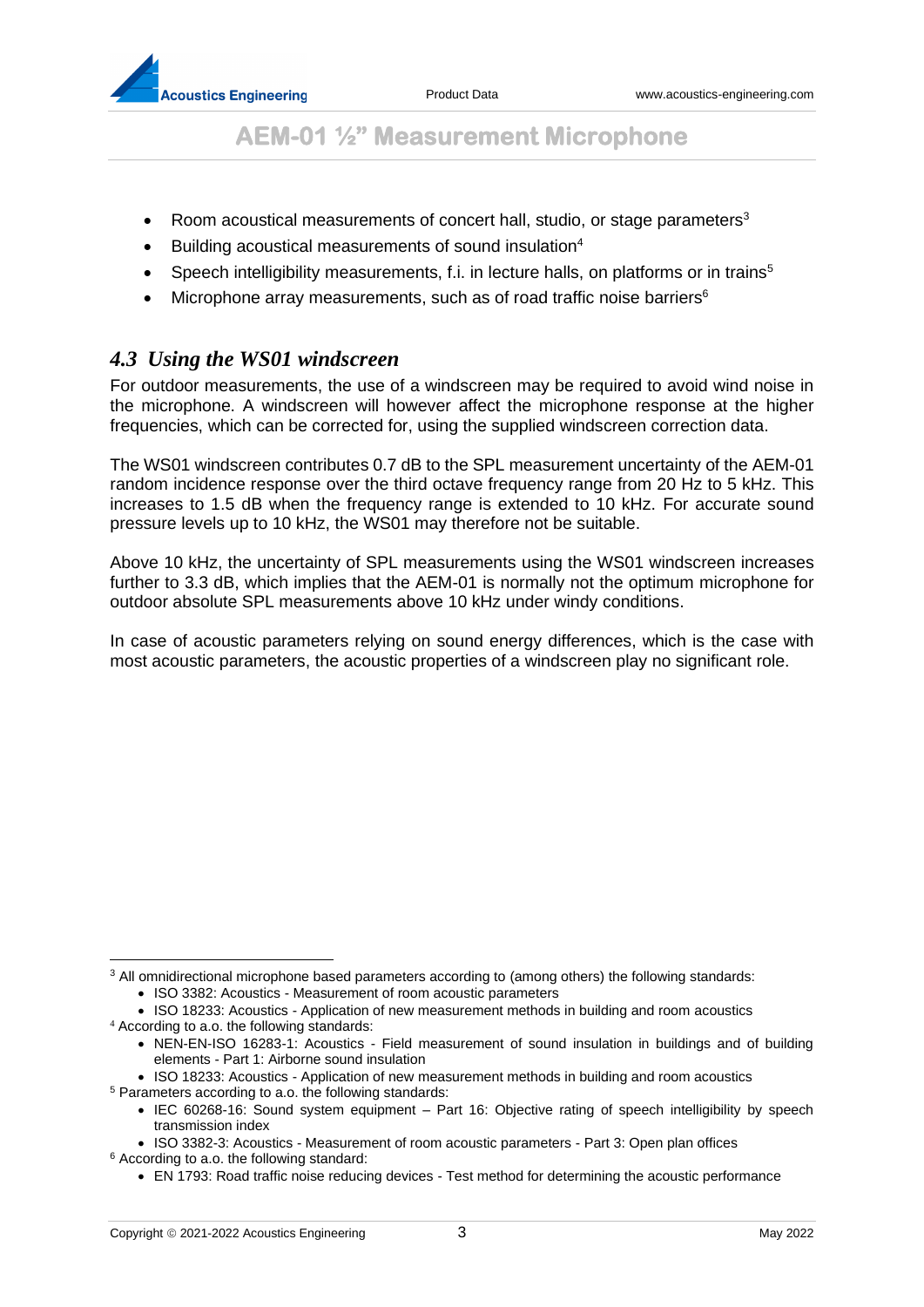- Room acoustical measurements of concert hall, studio, or stage parameters<sup>3</sup>
- Building acoustical measurements of sound insulation<sup>4</sup>
- Speech intelligibility measurements, f.i. in lecture halls, on platforms or in trains<sup>5</sup>
- Microphone array measurements, such as of road traffic noise barriers<sup>6</sup>

#### *4.3 Using the WS01 windscreen*

For outdoor measurements, the use of a windscreen may be required to avoid wind noise in the microphone. A windscreen will however affect the microphone response at the higher frequencies, which can be corrected for, using the supplied windscreen correction data.

The WS01 windscreen contributes 0.7 dB to the SPL measurement uncertainty of the AEM-01 random incidence response over the third octave frequency range from 20 Hz to 5 kHz. This increases to 1.5 dB when the frequency range is extended to 10 kHz. For accurate sound pressure levels up to 10 kHz, the WS01 may therefore not be suitable.

Above 10 kHz, the uncertainty of SPL measurements using the WS01 windscreen increases further to 3.3 dB, which implies that the AEM-01 is normally not the optimum microphone for outdoor absolute SPL measurements above 10 kHz under windy conditions.

In case of acoustic parameters relying on sound energy differences, which is the case with most acoustic parameters, the acoustic properties of a windscreen play no significant role.

<sup>&</sup>lt;sup>3</sup> All omnidirectional microphone based parameters according to (among others) the following standards:

<sup>•</sup> ISO 3382: Acoustics - Measurement of room acoustic parameters

<sup>•</sup> ISO 18233: Acoustics - Application of new measurement methods in building and room acoustics

<sup>4</sup> According to a.o. the following standards:

<sup>•</sup> NEN-EN-ISO 16283-1: Acoustics - Field measurement of sound insulation in buildings and of building elements - Part 1: Airborne sound insulation

<sup>•</sup> ISO 18233: Acoustics - Application of new measurement methods in building and room acoustics <sup>5</sup> Parameters according to a.o. the following standards:

<sup>•</sup> IEC 60268-16: Sound system equipment – Part 16: Objective rating of speech intelligibility by speech transmission index

<sup>•</sup> ISO 3382-3: Acoustics - Measurement of room acoustic parameters - Part 3: Open plan offices <sup>6</sup> According to a.o. the following standard:

<sup>•</sup> EN 1793: Road traffic noise reducing devices - Test method for determining the acoustic performance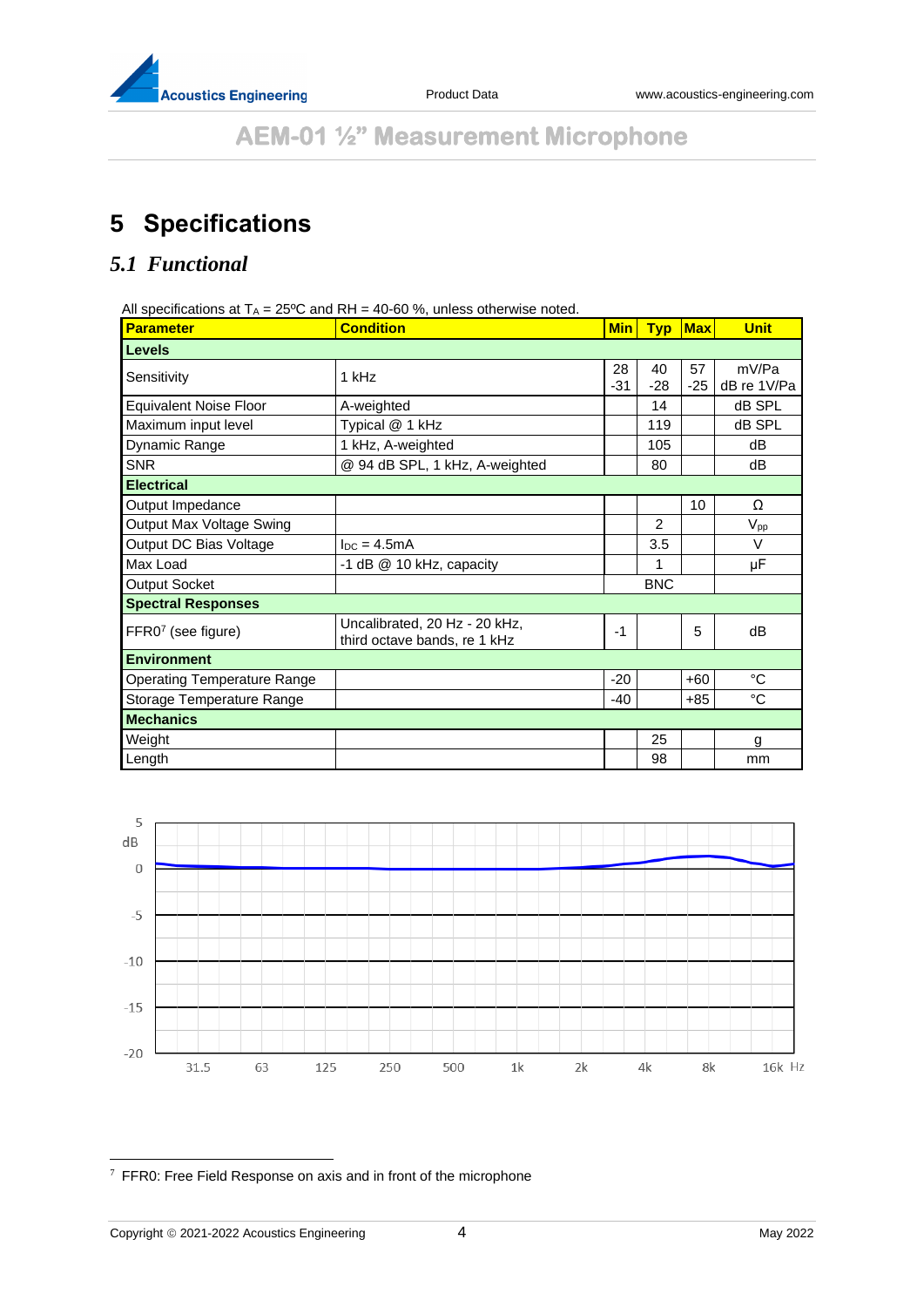

# **5 Specifications**

#### *5.1 Functional*

All specifications at  $T_A = 25^{\circ}\text{C}$  and RH = 40-60 %, unless otherwise noted.

| <b>Parameter</b>                   | <b>Condition</b>                                              | <b>Min</b>  | <b>Typ</b>    | Max         | <b>Unit</b>          |
|------------------------------------|---------------------------------------------------------------|-------------|---------------|-------------|----------------------|
| <b>Levels</b>                      |                                                               |             |               |             |                      |
| Sensitivity                        | 1 kHz                                                         | 28<br>$-31$ | 40<br>$-28$   | 57<br>$-25$ | mV/Pa<br>dB re 1V/Pa |
| <b>Equivalent Noise Floor</b>      | A-weighted                                                    |             | 14            |             | dB SPL               |
| Maximum input level                | Typical @ 1 kHz                                               |             | 119           |             | dB SPL               |
| Dynamic Range                      | 1 kHz, A-weighted                                             |             | 105           |             | dB                   |
| <b>SNR</b>                         | @ 94 dB SPL, 1 kHz, A-weighted                                |             | 80            |             | dB                   |
| <b>Electrical</b>                  |                                                               |             |               |             |                      |
| Output Impedance                   |                                                               |             |               | 10          | Ω                    |
| Output Max Voltage Swing           |                                                               |             | $\mathcal{P}$ |             | $V_{\sf pp}$         |
| Output DC Bias Voltage             | $loc = 4.5mA$                                                 |             | 3.5           |             | V                    |
| Max Load                           | -1 dB @ 10 kHz, capacity                                      |             | 1             |             | μF                   |
| Output Socket                      |                                                               |             | <b>BNC</b>    |             |                      |
| <b>Spectral Responses</b>          |                                                               |             |               |             |                      |
| FFR07 (see figure)                 | Uncalibrated, 20 Hz - 20 kHz,<br>third octave bands, re 1 kHz | $-1$        |               | 5           | dB                   |
| <b>Environment</b>                 |                                                               |             |               |             |                      |
| <b>Operating Temperature Range</b> |                                                               | $-20$       |               | $+60$       | °C                   |
| Storage Temperature Range          |                                                               | $-40$       |               | $+85$       | $^{\circ}C$          |
| <b>Mechanics</b>                   |                                                               |             |               |             |                      |
| Weight                             |                                                               |             | 25            |             | g                    |
| Length                             |                                                               |             | 98            |             | mm                   |



 $7$  FFR0: Free Field Response on axis and in front of the microphone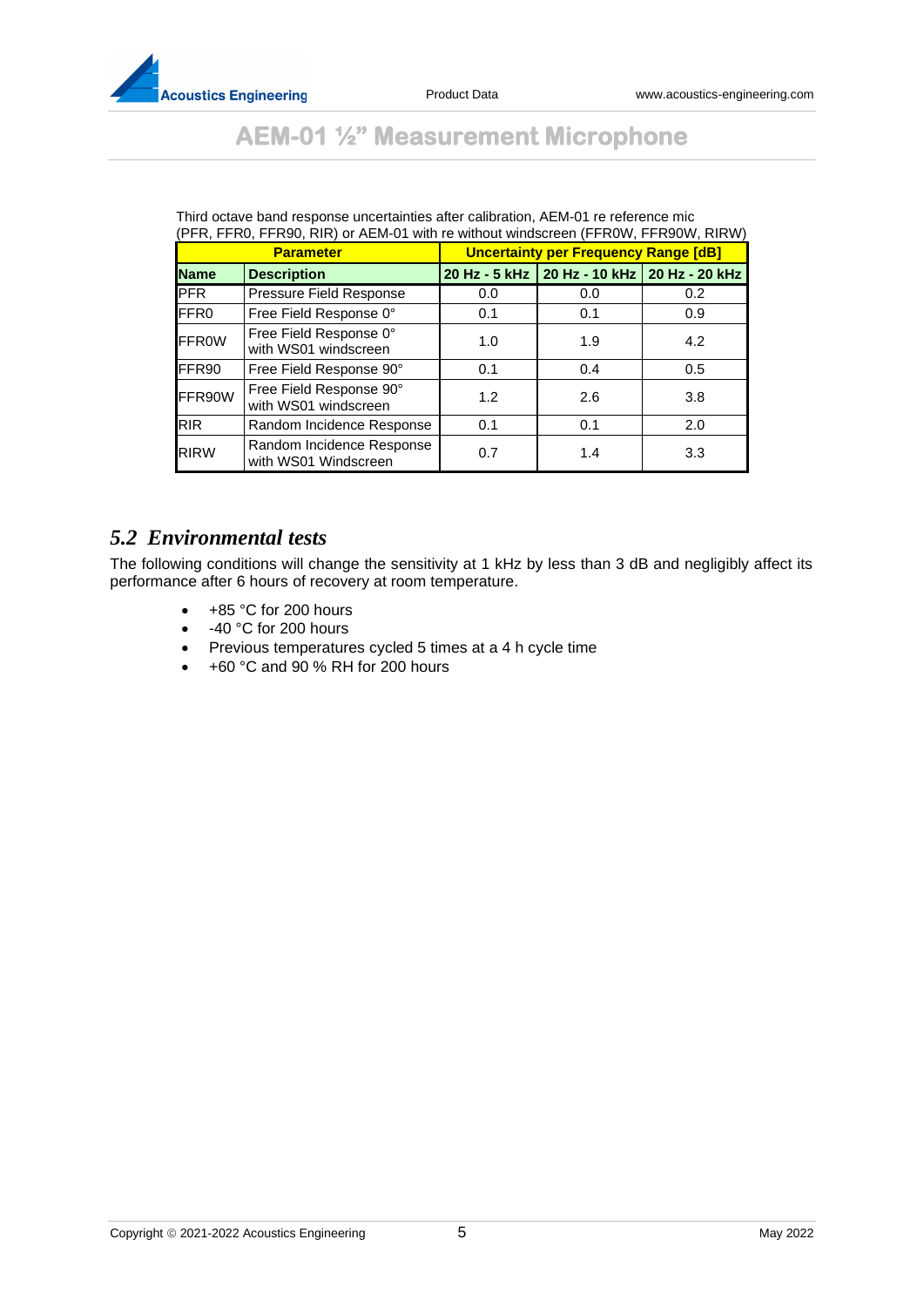

| <b>AEM-01 1/2" Measurement Microphone</b> |  |  |  |  |
|-------------------------------------------|--|--|--|--|
|-------------------------------------------|--|--|--|--|

| <b>Parameter</b> |                                                   | <b>Uncertainty per Frequency Range [dB]</b> |                                             |     |  |
|------------------|---------------------------------------------------|---------------------------------------------|---------------------------------------------|-----|--|
| <b>Name</b>      | <b>Description</b>                                |                                             | 20 Hz - 5 kHz 20 Hz - 10 kHz 20 Hz - 20 kHz |     |  |
| <b>IPFR</b>      | Pressure Field Response                           | 0.0                                         | 0.0                                         | 0.2 |  |
| FFR <sub>0</sub> | Free Field Response 0°                            | 0.1                                         | 0.1                                         | 0.9 |  |
| <b>FFROW</b>     | Free Field Response 0°<br>with WS01 windscreen    | 1.0                                         | 1.9                                         | 4.2 |  |
| FFR90            | Free Field Response 90°                           | 0.1                                         | 0.4                                         | 0.5 |  |
| FFR90W           | Free Field Response 90°<br>with WS01 windscreen   | 1.2                                         | 2.6                                         | 3.8 |  |
| <b>RIR</b>       | Random Incidence Response                         | 0.1                                         | 0.1                                         | 2.0 |  |
| <b>RIRW</b>      | Random Incidence Response<br>with WS01 Windscreen | 0.7                                         | 1.4                                         | 3.3 |  |

Third octave band response uncertainties after calibration, AEM-01 re reference mic

#### *5.2 Environmental tests*

The following conditions will change the sensitivity at 1 kHz by less than 3 dB and negligibly affect its performance after 6 hours of recovery at room temperature.

- +85 °C for 200 hours
- -40 °C for 200 hours
- Previous temperatures cycled 5 times at a 4 h cycle time
- +60 °C and 90 % RH for 200 hours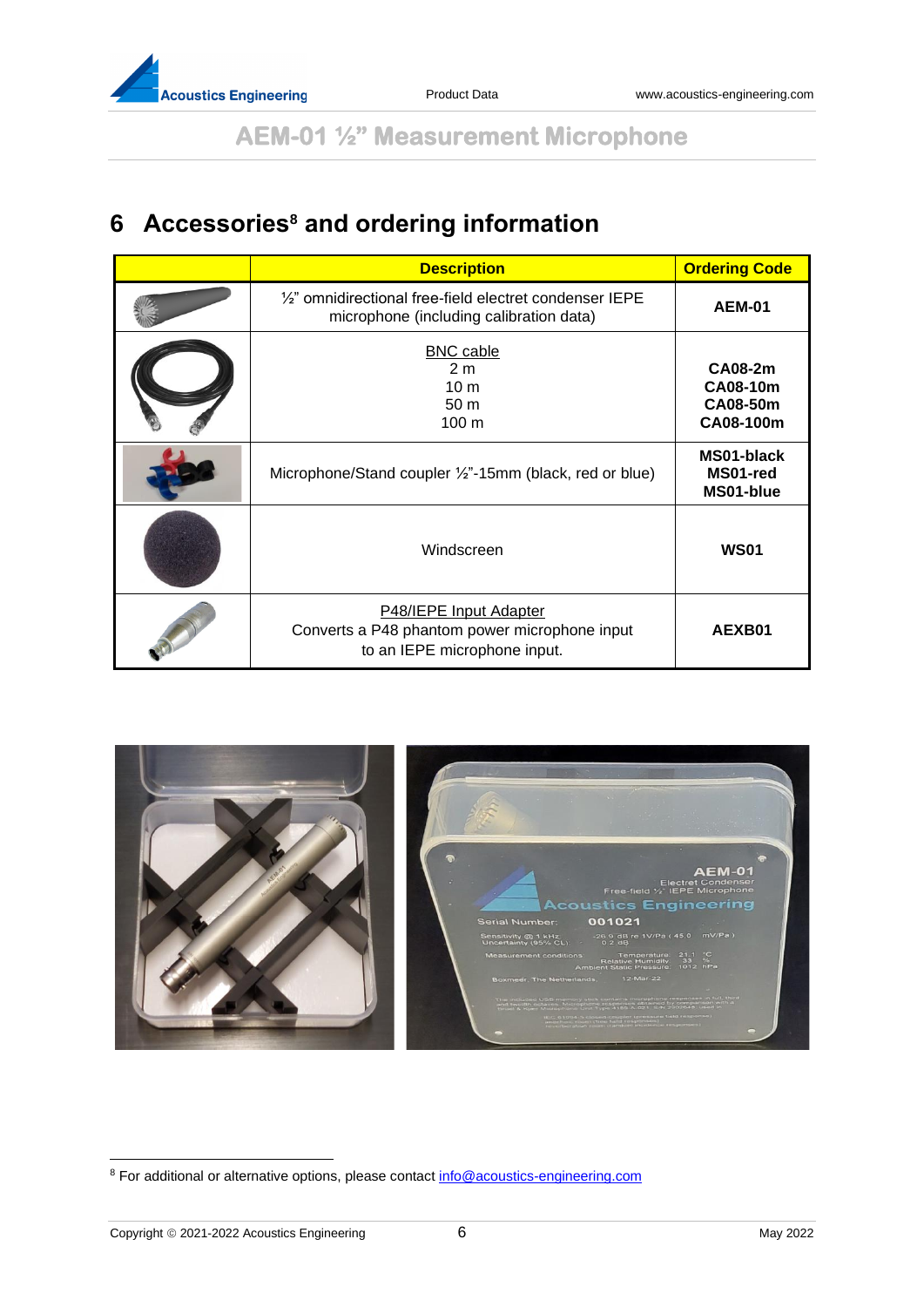

# **6 Accessories<sup>8</sup> and ordering information**

| <b>Description</b>                                                                                            | <b>Ordering Code</b>                                |
|---------------------------------------------------------------------------------------------------------------|-----------------------------------------------------|
| $\frac{1}{2}$ " omnidirectional free-field electret condenser IEPE<br>microphone (including calibration data) | <b>AEM-01</b>                                       |
| <b>BNC</b> cable<br>2 <sub>m</sub><br>10 <sub>m</sub><br>50 <sub>m</sub><br>$100 \text{ m}$                   | CA08-2m<br><b>CA08-10m</b><br>CA08-50m<br>CA08-100m |
| Microphone/Stand coupler 1/2"-15mm (black, red or blue)                                                       | MS01-black<br>MS01-red<br>MS01-blue                 |
| Windscreen                                                                                                    | <b>WS01</b>                                         |
| P48/IEPE Input Adapter<br>Converts a P48 phantom power microphone input<br>to an IEPE microphone input.       | AEXB01                                              |



<sup>8</sup> For additional or alternative options, please contact [info@acoustics-engineering.com](mailto:info@acoustics-engineering.com)